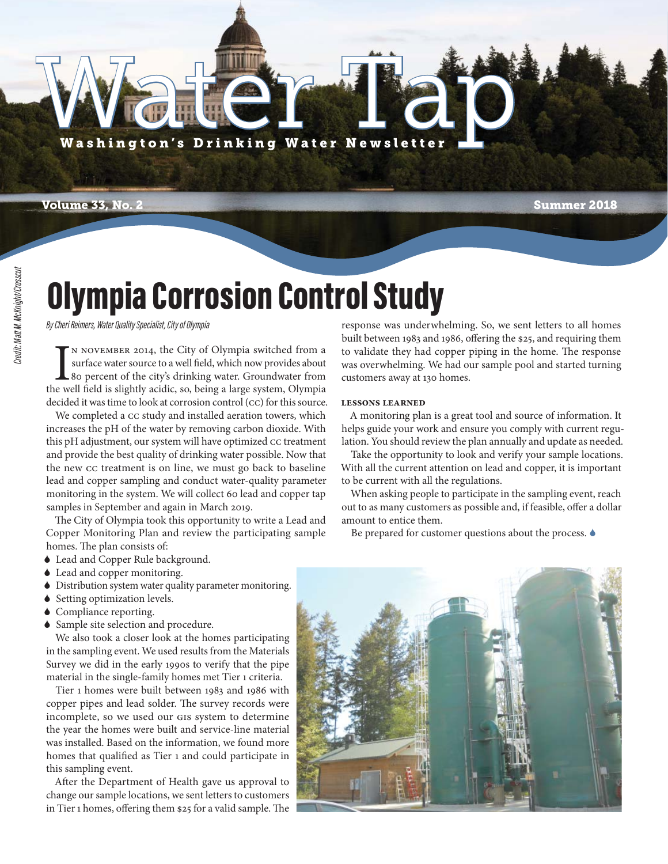

Water Tap

ater Ta

**Volume 33, No. 2 Summer 2018**

### Olympia Corrosion Control Study

*By Cheri Reimers, Water Quality Specialist, City of Olympia*

IN NOVEMBER 2014, the City of Olympia switched from a surface water source to a well field, which now provides about 80 percent of the city's drinking water. Groundwater from the well field is slightly acidic, so, being a n November 2014, the City of Olympia switched from a surface water source to a well field, which now provides about 80 percent of the city's drinking water. Groundwater from decided it was time to look at corrosion control (cc) for this source.

We completed a CC study and installed aeration towers, which increases the pH of the water by removing carbon dioxide. With this pH adjustment, our system will have optimized CC treatment and provide the best quality of drinking water possible. Now that the new CC treatment is on line, we must go back to baseline lead and copper sampling and conduct water-quality parameter monitoring in the system. We will collect 60 lead and copper tap samples in September and again in March 2019.

The City of Olympia took this opportunity to write a Lead and Copper Monitoring Plan and review the participating sample homes. The plan consists of:

- Lead and Copper Rule background.
- Lead and copper monitoring.
- Distribution system water quality parameter monitoring.
- ◆ Setting optimization levels.
- ◆ Compliance reporting.
- Sample site selection and procedure.

We also took a closer look at the homes participating in the sampling event. We used results from the Materials Survey we did in the early 1990s to verify that the pipe material in the single-family homes met Tier 1 criteria.

Tier 1 homes were built between 1983 and 1986 with copper pipes and lead solder. The survey records were incomplete, so we used our GIS system to determine the year the homes were built and service-line material was installed. Based on the information, we found more homes that qualified as Tier 1 and could participate in this sampling event.

After the Department of Health gave us approval to change our sample locations, we sent letters to customers in Tier 1 homes, offering them \$25 for a valid sample. The response was underwhelming. So, we sent letters to all homes built between 1983 and 1986, offering the \$25, and requiring them to validate they had copper piping in the home. The response was overwhelming. We had our sample pool and started turning customers away at 130 homes.

#### **Lessons Learned**

A monitoring plan is a great tool and source of information. It helps guide your work and ensure you comply with current regulation. You should review the plan annually and update as needed.

Take the opportunity to look and verify your sample locations. With all the current attention on lead and copper, it is important to be current with all the regulations.

When asking people to participate in the sampling event, reach out to as many customers as possible and, if feasible, offer a dollar amount to entice them.

Be prepared for customer questions about the process.  $\bullet$ 

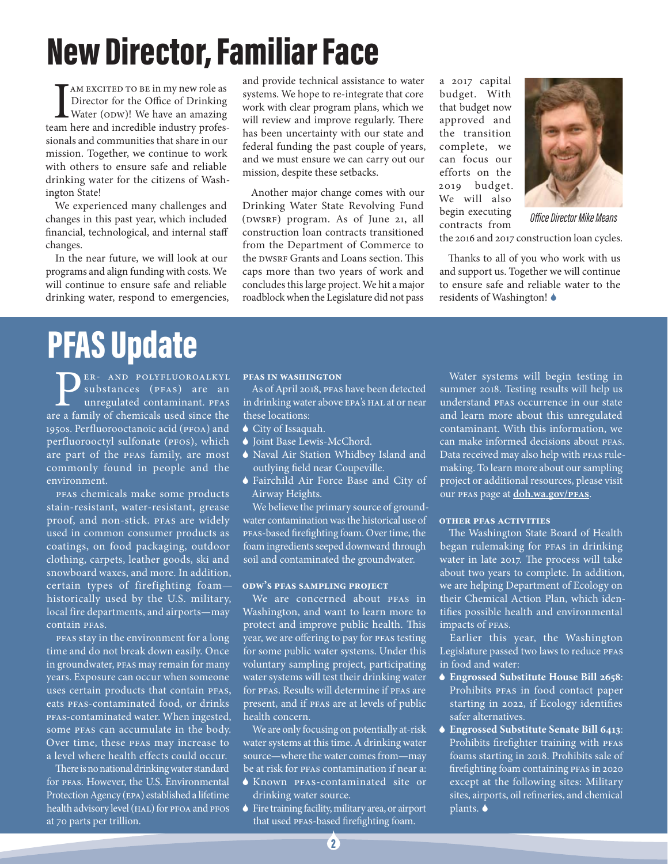### New Director, Familiar Face

I AM EXCITED TO BE in my new role as Director for the Office of Drinking Water (ODW)! We have an amazing team here and incredible industry professionals and communities that share in our mission. Together, we continue to work with others to ensure safe and reliable drinking water for the citizens of Washington State!

We experienced many challenges and changes in this past year, which included financial, technological, and internal staff changes.

In the near future, we will look at our programs and align funding with costs. We will continue to ensure safe and reliable drinking water, respond to emergencies, and provide technical assistance to water systems. We hope to re-integrate that core work with clear program plans, which we will review and improve regularly. There has been uncertainty with our state and federal funding the past couple of years, and we must ensure we can carry out our mission, despite these setbacks.

Another major change comes with our Drinking Water State Revolving Fund (DWSRF) program. As of June 21, all construction loan contracts transitioned from the Department of Commerce to the DWSRF Grants and Loans section. This caps more than two years of work and concludes this large project. We hit a major roadblock when the Legislature did not pass a 2017 capital budget. With that budget now approved and the transition complete, we can focus our efforts on the 2019 budget. We will also begin executing contracts from



*Off ice Director Mike Means*

the 2016 and 2017 construction loan cycles.

Thanks to all of you who work with us and support us. Together we will continue to ensure safe and reliable water to the residents of Washington!

### PFAS Update

**PER-AND POLYFLUOROALKYL**<br>substances (PFAS) are an<br>unregulated contaminant. PFAS<br>re a family of chemicals used since the substances (PFAS) are an unregulated contaminant. PFAS are a family of chemicals used since the 1950s. Perfluorooctanoic acid (PFOA) and perfluorooctyl sulfonate (PFOS), which are part of the PFAS family, are most commonly found in people and the environment.

PFAS chemicals make some products stain-resistant, water-resistant, grease proof, and non-stick. PFAS are widely used in common consumer products as coatings, on food packaging, outdoor clothing, carpets, leather goods, ski and snowboard waxes, and more. In addition, certain types of firefighting foam historically used by the U.S. military, local fire departments, and airports—may contain PFAS.

PFAS stay in the environment for a long time and do not break down easily. Once in groundwater, PFAS may remain for many years. Exposure can occur when someone uses certain products that contain PFAS, eats PFAS-contaminated food, or drinks PFAS-contaminated water. When ingested, some PFAS can accumulate in the body. Over time, these PFAS may increase to a level where health effects could occur.

There is no national drinking water standard for PFAS. However, the U.S. Environmental Protection Agency (EPA) established a lifetime health advisory level (HAL) for PFOA and PFOS at 70 parts per trillion.

#### **PFAS in Washington**

As of April 2018, PFAS have been detected in drinking water above EPA's HAL at or near these locations:

- City of Issaquah.
- ♦ Joint Base Lewis-McChord.
- Naval Air Station Whidbey Island and outlying field near Coupeville.
- Fairchild Air Force Base and City of Airway Heights.

We believe the primary source of groundwater contamination was the historical use of PFAS-based firefighting foam. Over time, the foam ingredients seeped downward through soil and contaminated the groundwater.

#### **ODW's PFAS Sampling Project**

We are concerned about PFAS in Washington, and want to learn more to protect and improve public health. This year, we are offering to pay for PFAS testing for some public water systems. Under this voluntary sampling project, participating water systems will test their drinking water for PFAS. Results will determine if PFAS are present, and if PFAS are at levels of public health concern.

We are only focusing on potentially at-risk water systems at this time. A drinking water source—where the water comes from—may be at risk for PFAS contamination if near a:

- Known PFAS-contaminated site or drinking water source.
- Fire training facility, military area, or airport that used PFAS-based firefighting foam.

Water systems will begin testing in summer 2018. Testing results will help us understand PFAS occurrence in our state and learn more about this unregulated contaminant. With this information, we can make informed decisions about PFAS. Data received may also help with PFAS rulemaking. To learn more about our sampling project or additional resources, please visit our PFAS page at **doh.wa.gov/PFAS**.

#### **Other PFAS Activities**

The Washington State Board of Health began rulemaking for PFAS in drinking water in late 2017. The process will take about two years to complete. In addition, we are helping Department of Ecology on their Chemical Action Plan, which identifies possible health and environmental impacts of PFAS.

Earlier this year, the Washington Legislature passed two laws to reduce PFAS in food and water:

- **Engrossed Substitute House Bill 2658**: Prohibits PFAS in food contact paper starting in 2022, if Ecology identifies safer alternatives.
- **Engrossed Substitute Senate Bill 6413**: Prohibits firefighter training with PFAS foams starting in 2018. Prohibits sale of firefighting foam containing PFAS in 2020 except at the following sites: Military sites, airports, oil refineries, and chemical plants.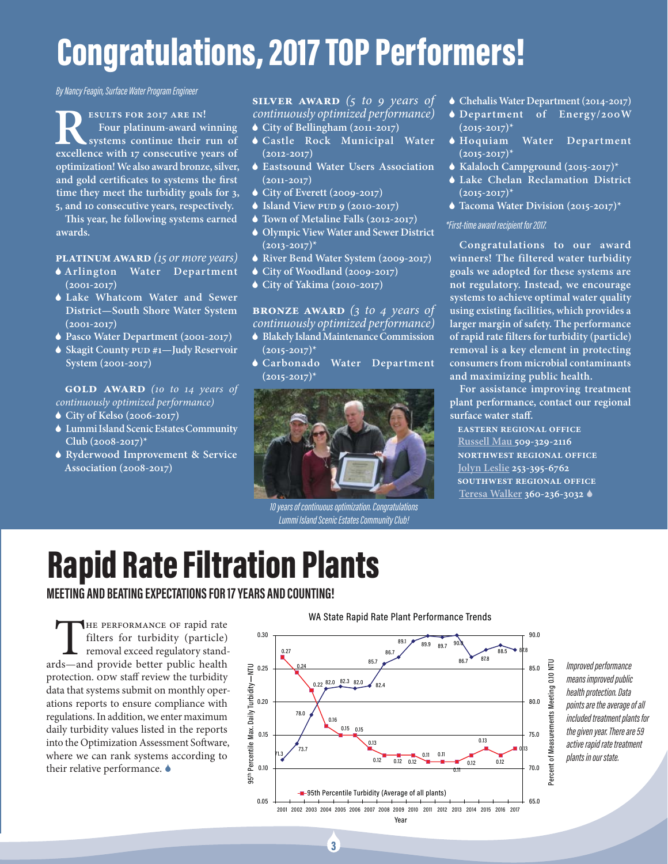### Congratulations, 2017 TOP Performers!

*By Nancy Feagin, Surface Water Program Engineer* 

**RESULTS FOR 2017 ARE IN!**<br>
Four platinum-award winning<br>
excellence with 17 consecutive years of **Four platinum-award winning systems continue their run of optimization! We also award bronze, silver,**  and gold certificates to systems the first **time they meet the turbidity goals for 3, 5, and 10 consecutive years, respectively.**

**Th is year, he following systems earned awards.** 

#### **Platinum Award** *(15 or more years)*

- **Arlington Water Department (2001-2017)**
- **Lake Whatcom Water and Sewer District—South Shore Water System (2001-2017)**
- **Pasco Water Department (2001-2017)**
- **Skagit County PUD #1—Judy Reservoir System (2001-2017)**

#### **GOLD AWARD** (10 to 14 years of *continuously optimized performance)*

- **City of Kelso (2006-2017)**
- **Lummi Island Scenic Estates Community Club (2008-2017)\***
- **Ryderwood Improvement & Service Association (2008-2017)**

#### **Silver Award** *(5 to 9 years of continuously optimized performance)*

- **City of Bellingham (2011-2017)**
- **Castle Rock Municipal Water (2012-2017)**
- **Eastsound Water Users Association (2011-2017)**
- **City of Everett (2009-2017)**
- **Island View PUD 9 (2010-2017)**
- **Town of Metaline Falls (2012-2017)**
- **Olympic View Water and Sewer District (2013-2017)\***
- **River Bend Water System (2009-2017)**
- **City of Woodland (2009-2017)**
- **City of Yakima (2010-2017)**

#### **Bronze Award** *(3 to 4 years of continuously optimized performance)*

- **Blakely Island Maintenance Commission (2015-2017)\***
- **Carbonado Water Department (2015-2017)\***



*10 years of continuous optimization. Congratulations Lummi Island Scenic Estates Community Club!*

3 3

- **Chehalis Water Department (2014-2017)**
- **Department of Energy/200W (2015-2017)\***
- **Hoquiam Water Department (2015-2017)\***
- **Kalaloch Campground (2015-2017)\***
- **Lake Chelan Reclamation District (2015-2017)\***
- **Tacoma Water Division (2015-2017)\***

#### *\*First-time award recipient for 2017.*

**Congratulations to our award winners! The filtered water turbidity goals we adopted for these systems are not regulatory. Instead, we encourage systems to achieve optimal water quality using existing facilities, which provides a larger margin of safety. The performance of rapid rate filters for turbidity (particle) removal is a key element in protecting consumers from microbial contaminants and maximizing public health.**

**For assistance improving treatment plant performance, contact our regional surface water staff .**

**Eastern Regional Office Russell Mau 509-329-2116 Northwest Regional Office Jolyn Leslie 253-395-6762 Southwest Regional Office Teresa Walker 360-236-3032** 

### Rapid Rate Filtration Plants

**MEETING AND BEATING EXPECTATIONS FOR 17 YEARS AND COUNTING!**

THE PERFORMANCE OF rapid rate filters for turbidity (particle) removal exceed regulatory standards—and provide better public health filters for turbidity (particle) removal exceed regulatory standprotection. ODW staff review the turbidity data that systems submit on monthly operations reports to ensure compliance with regulations. In addition, we enter maximum daily turbidity values listed in the reports into the Optimization Assessment Software, where we can rank systems according to their relative performance.  $\bullet$ 



*Improved performance means improved public health protection. Data points are the average of all included treatment plants for the given year. There are 59 active rapid rate treatment plants in our state.* 

#### WA State Rapid Rate Plant Performance Trends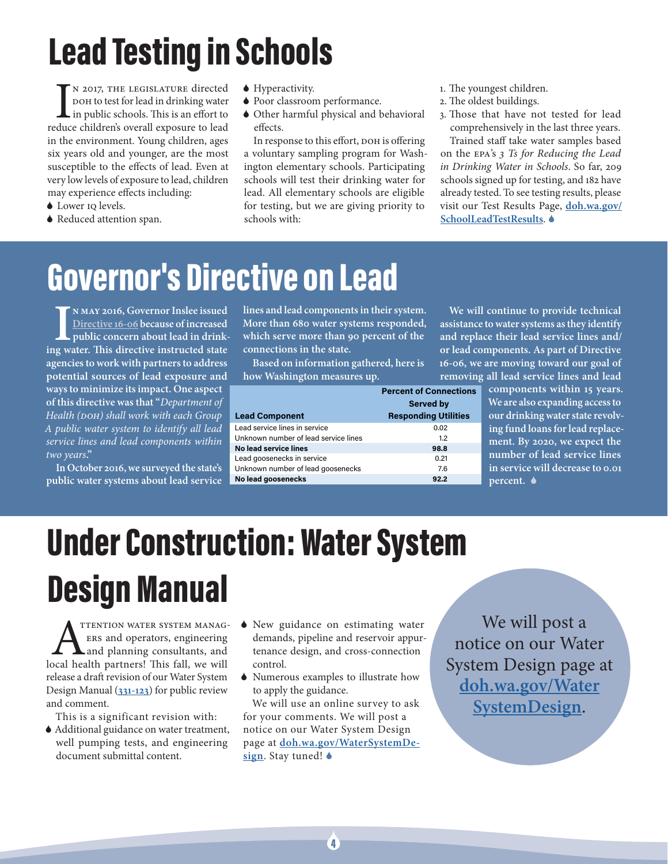# Lead Testing in Schools

IN 2017, THE LEGISLATURE directed<br>DOH to test for lead in drinking water<br>in public schools. This is an effort to<br>reduce children's overall exposure to lead n 2017, the Legislature directed DOH to test for lead in drinking water in public schools. This is an effort to in the environment. Young children, ages six years old and younger, are the most susceptible to the effects of lead. Even at very low levels of exposure to lead, children may experience effects including:

- ◆ Lower IQ levels.
- ◆ Reduced attention span.
- ◆ Hyperactivity.
- Poor classroom performance.
- Other harmful physical and behavioral effects.

In response to this effort, DOH is offering a voluntary sampling program for Washington elementary schools. Participating schools will test their drinking water for lead. All elementary schools are eligible for testing, but we are giving priority to schools with:

- 1. The youngest children.
- 2. The oldest buildings.
- 3. Those that have not tested for lead comprehensively in the last three years.

Trained staff take water samples based on the EPA's *3 Ts for Reducing the Lead in Drinking Water in Schools*. So far, 209 schools signed up for testing, and 182 have already tested. To see testing results, please visit our Test Results Page, **doh.wa.gov/ SchoolLeadTestResults**.

### Governor's Directive on Lead

IN MAY 2016, Governor Inslee issued<br>Directive 16-06 because of increased<br>public concern about lead in drink-<br>ing water. This directive instructed state **n May 2016, Governor Inslee issued Directive 16-06 because of increased public concern about lead in drinkagencies to work with partners to address potential sources of lead exposure and ways to minimize its impact. One aspect of this directive was that "***Department of Health (DOH) shall work with each Group A public water system to identify all lead service lines and lead components within two years***."**

**In October 2016, we surveyed the state's public water systems about lead service**  **lines and lead components in their system. More than 680 water systems responded, which serve more than 90 percent of the connections in the state.** 

**Based on information gathered, here is how Washington measures up.**

|                                      | <b>Percent of Connections</b> |
|--------------------------------------|-------------------------------|
|                                      | <b>Served by</b>              |
| <b>Lead Component</b>                | <b>Responding Utilities</b>   |
| Lead service lines in service        | 0.02                          |
| Unknown number of lead service lines | 1.2                           |
| No lead service lines                | 98.8                          |
| Lead goosenecks in service           | 0.21                          |
| Unknown number of lead goosenecks    | 7.6                           |
| No lead goosenecks                   | 92.2                          |

**We will continue to provide technical assistance to water systems as they identify and replace their lead service lines and/ or lead components. As part of Directive 16-06, we are moving toward our goal of removing all lead service lines and lead** 

> **components within 15 years. We are also expanding access to our drinking water state revolving fund loans for lead replacement. By 2020, we expect the number of lead service lines in service will decrease to 0.01 percent.**

# Under Construction: Water System Design Manual

**ATTENTION WATER SYSTEM MANAGERS**<br>
ERS and operators, engineering<br>
local health partners! This fall, we will ers and operators, engineering and planning consultants, and release a draft revision of our Water System Design Manual (**331-123**) for public review and comment.

This is a significant revision with:

- Additional guidance on water treatment, well pumping tests, and engineering document submittal content.
- New guidance on estimating water demands, pipeline and reservoir appurtenance design, and cross-connection control.
- Numerous examples to illustrate how to apply the guidance.

We will use an online survey to ask for your comments. We will post a notice on our Water System Design page at **doh.wa.gov/WaterSystemDesign**. Stay tuned!

We will post a notice on our Water System Design page at **doh.wa.gov/Water SystemDesign**.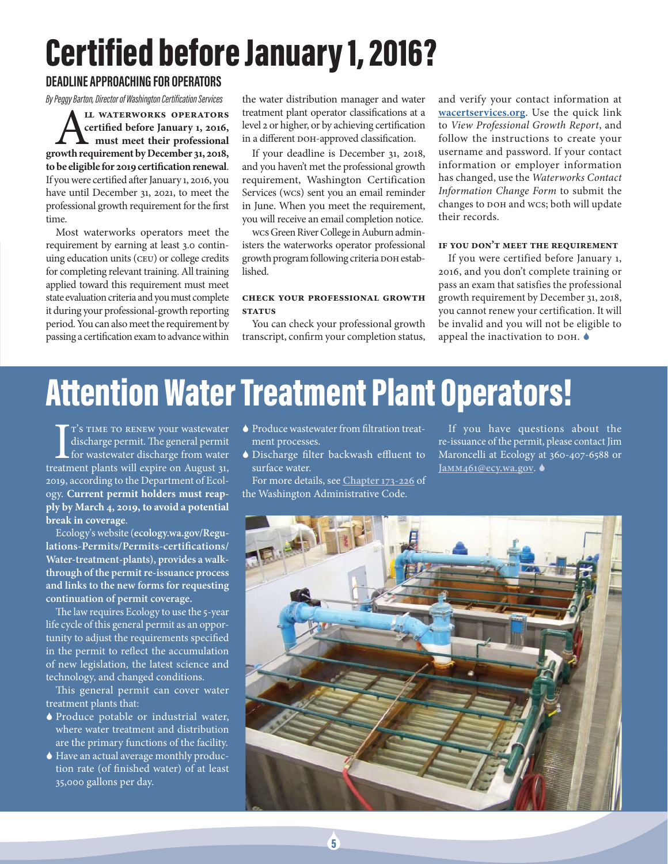## Certified before January 1, 2016?

#### **DEADLINE APPROACHING FOR OPERATORS**

*By Peggy Barton, Director of Washington Certification Services*

**ALL WATERWORKS OPERATORS**<br>
certified before January 1, 2016,<br>
must meet their professional<br>
owth requirement by December 31, 2018, **certifi ed before January 1, 2016, must meet their professional growth requirement by December 31, 2018,**  to be eligible for 2019 certification renewal. If you were certified after January 1, 2016, you have until December 31, 2021, to meet the professional growth requirement for the first time.

Most waterworks operators meet the requirement by earning at least 3.0 continuing education units (CEU) or college credits for completing relevant training. All training applied toward this requirement must meet state evaluation criteria and you must complete it during your professional-growth reporting period. You can also meet the requirement by passing a certification exam to advance within

the water distribution manager and water treatment plant operator classifications at a level 2 or higher, or by achieving certification in a different DOH-approved classification.

If your deadline is December 31, 2018, and you haven't met the professional growth requirement, Washington Certification Services (WCS) sent you an email reminder in June. When you meet the requirement, you will receive an email completion notice.

WCS Green River College in Auburn administers the waterworks operator professional growth program following criteria DOH established.

#### **Check your professional growth sTATUS**

You can check your professional growth transcript, confirm your completion status,

and verify your contact information at **wacertservices.org**. Use the quick link to *View Professional Growth Report*, and follow the instructions to create your username and password. If your contact information or employer information has changed, use the *Waterworks Contact Information Change Form* to submit the changes to DOH and WCS; both will update their records.

#### **If you don't meet the requirement**

If you were certified before January 1, 2016, and you don't complete training or pass an exam that satisfies the professional growth requirement by December 31, 2018, you cannot renew your certification. It will be invalid and you will not be eligible to appeal the inactivation to DOH.

### Attention Water Treatment Plant Operators!

T'S TIME TO RENEW your wastewater<br>discharge permit. The general permit<br>for wastewater discharge from water<br>treatment plants will expire on August 31, T'S TIME TO RENEW your wastewater discharge permit. The general permit **L** for wastewater discharge from water 2019, according to the Department of Ecology. **Current permit holders must reapply by March 4, 2019, to avoid a potential break in coverage**.

Ecology's website (**ecology.wa.gov/Regu**lations-Permits/Permits-certifications/ **Water-treatment-plants), provides a walkthrough of the permit re-issuance process and links to the new forms for requesting continuation of permit coverage.** 

The law requires Ecology to use the 5-year life cycle of this general permit as an opportunity to adjust the requirements specified in the permit to reflect the accumulation of new legislation, the latest science and technology, and changed conditions.

This general permit can cover water treatment plants that:

- Produce potable or industrial water, where water treatment and distribution are the primary functions of the facility.
- Have an actual average monthly production rate (of finished water) of at least 35,000 gallons per day.
- $\blacklozenge$  Produce wastewater from filtration treatment processes.
- Discharge filter backwash effluent to surface water.

For more details, see **Chapter 173-226** of the Washington Administrative Code.

If you have questions about the re-issuance of the permit, please contact Jim Maroncelli at Ecology at 360-407-6588 or **JaMM461@ecy.wa.gov**.

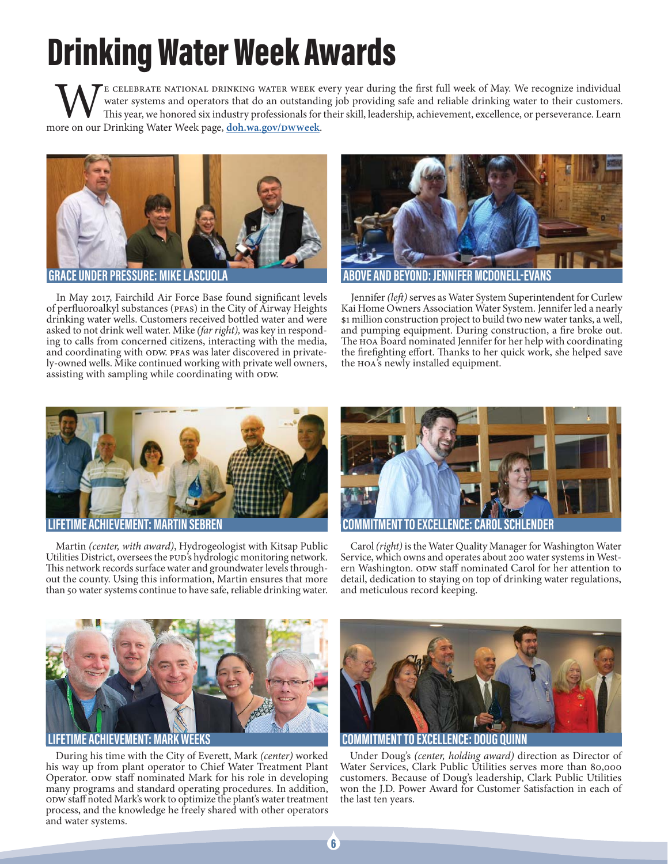# Drinking Water Week Awards

WE CELEBRATE NATIONAL DRINKING WATER WEEK every year during the first full week of May. We recognize individual<br>We water systems and operators that do an outstanding job providing safe and reliable drinking water to their water systems and operators that do an outstanding job providing safe and reliable drinking water to their customers. This year, we honored six industry professionals for their skill, leadership, achievement, excellence, or perseverance. Learn more on our Drinking Water Week page, **doh.wa.gov/DWWeek**.



In May 2017, Fairchild Air Force Base found significant levels of perfluoroalkyl substances (PFAS) in the City of Airway Heights drinking water wells. Customers received bottled water and were asked to not drink well water. Mike *(far right),* was key in responding to calls from concerned citizens, interacting with the media, and coordinating with ODW. PFAS was later discovered in privately-owned wells. Mike continued working with private well owners, assisting with sampling while coordinating with ODW.



Jennifer (left) serves as Water System Superintendent for Curlew Kai Home Owners Association Water System. Jennifer led a nearly \$1 million construction project to build two new water tanks, a well, and pumping equipment. During construction, a fire broke out. The HOA Board nominated Jennifer for her help with coordinating the firefighting effort. Thanks to her quick work, she helped save the HOA's newly installed equipment.



Martin *(center, with award)*, Hydrogeologist with Kitsap Public Utilities District, oversees the PUD's hydrologic monitoring network. This network records surface water and groundwater levels throughout the county. Using this information, Martin ensures that more than 50 water systems continue to have safe, reliable drinking water.



Carol *(right)* is the Water Quality Manager for Washington Water Service, which owns and operates about 200 water systems in Western Washington. ODW staff nominated Carol for her attention to detail, dedication to staying on top of drinking water regulations, and meticulous record keeping.



ACHIFVFMFN

During his time with the City of Everett, Mark *(center)* worked his way up from plant operator to Chief Water Treatment Plant Operator. ODW staff nominated Mark for his role in developing many programs and standard operating procedures. In addition, ODW staff noted Mark's work to optimize the plant's water treatment process, and the knowledge he freely shared with other operators and water systems.



**COMMITMENT TO EXCELLENCE: DOUG QUINN**

Under Doug's *(center, holding award)* direction as Director of Water Services, Clark Public Utilities serves more than 80,000 customers. Because of Doug's leadership, Clark Public Utilities won the J.D. Power Award for Customer Satisfaction in each of the last ten years.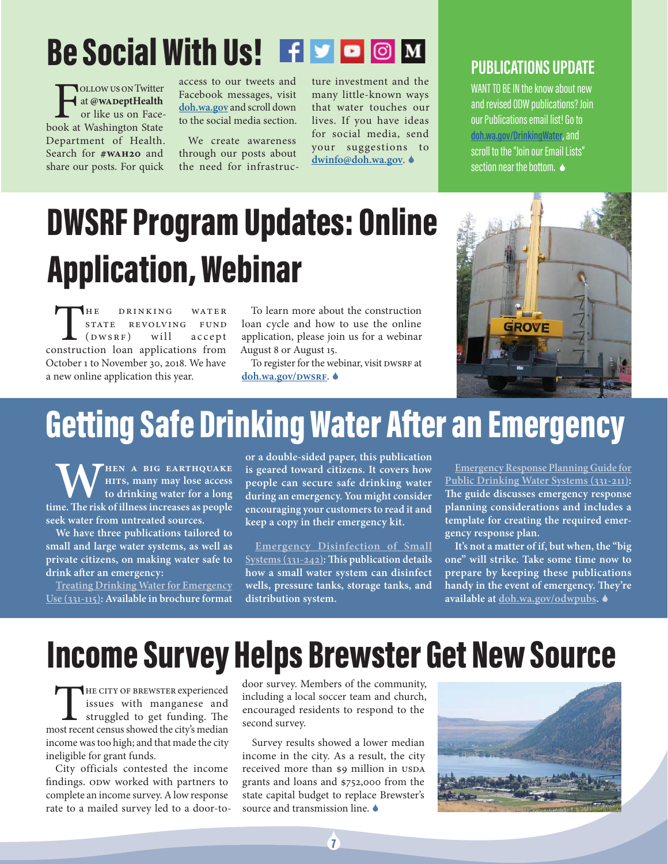### Be Social With Us! F P O M

THE ALLOW US ON TWITE<br>
The at **@WADeptHealth**<br>
The us on Face-<br>
The Mashington State at **@WADeptHealth** or like us on Facebook at Washington State Department of Health. Search for **#WAH20** and share our posts. For quick

access to our tweets and Facebook messages, visit **doh.wa.gov** and scroll down to the social media section.

We create awareness through our posts about the need for infrastructure investment and the many little-known ways that water touches our lives. If you have ideas for social media, send your suggestions to **dwinfo@doh.wa.gov**.

### **PUBLICATIONS UPDATE**

WANT TO BE IN the know about new and revised ODW publications? Join our Publications email list! Go to **doh.wa.gov/DrinkingWater**, and scroll to the "Join our Email Lists" section near the bottom.  $\bullet$ 

## DWSRF Program Updates: Online Application, Webinar

THE DRINKING WATER<br>
STATE REVOLVING FUND<br>
(DWSRF) will accept<br>
construction loan applications from STATE REVOLVING FUND<br>(DWSRF) will accept  $(DWSRF)$  will accept October 1 to November 30, 2018. We have a new online application this year.

To learn more about the construction loan cycle and how to use the online application, please join us for a webinar August 8 or August 15.

To register for the webinar, visit DWSRF at **doh.wa.gov/DWSRF**.



### Getting Safe Drinking Water After an Emergency

**WHEN A BIG EARTHQUAKE**<br>
to drinking water for a long<br>
time. The risk of illness increases as people **hits, many may lose access to drinking water for a long seek water from untreated sources.**

**We have three publications tailored to small and large water systems, as well as private citizens, on making water safe to**  drink after an emergency:

**Treating Drinking Water for Emergency Use (331-115): Available in brochure format** 

**or a double-sided paper, this publication is geared toward citizens. It covers how people can secure safe drinking water during an emergency. You might consider encouraging your customers to read it and keep a copy in their emergency kit.**

**Emergency Disinfection of Small**  Systems (331-242): This publication details **how a small water system can disinfect wells, pressure tanks, storage tanks, and distribution system.** 

**Emergency Response Planning Guide for Public Drinking Water Systems (331-211):**  The guide discusses emergency response **planning considerations and includes a template for creating the required emergency response plan.**

**It's not a matter of if, but when, the "big one" will strike. Take some time now to prepare by keeping these publications**  handy in the event of emergency. They're **available at doh.wa.gov/odwpubs.** 

### Income Survey Helps Brewster Get New Source

THE CITY OF BREWSTER experienced issues with manganese and struggled to get funding. The most recent census showed the city's median income was too high; and that made the city ineligible for grant funds.

City officials contested the income findings. opw worked with partners to complete an income survey. A low response rate to a mailed survey led to a door-todoor survey. Members of the community, including a local soccer team and church, encouraged residents to respond to the second survey.

Survey results showed a lower median income in the city. As a result, the city received more than \$9 million in USDA grants and loans and \$752,000 from the state capital budget to replace Brewster's source and transmission line.